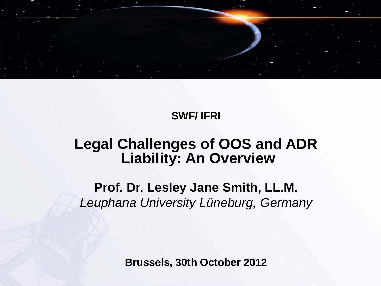

#### **SWF/ IFRI**

#### **Legal Challenges of OOS and ADR Liability: An Overview**

**Prof. Dr. Lesley Jane Smith, LL.M.** *Leuphana University Lüneburg, Germany* 

**Brussels, 30th October 2012**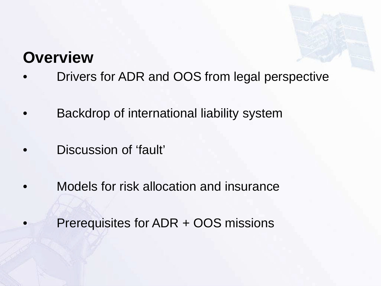#### **Overview**

- Drivers for ADR and OOS from legal perspective
- Backdrop of international liability system
- Discussion of 'fault'
- Models for risk allocation and insurance
- Prerequisites for ADR + OOS missions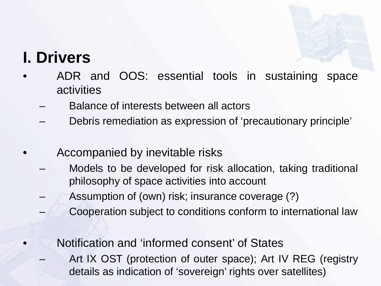

#### **I. Drivers**

- ADR and OOS: essential tools in sustaining space activities
	- Balance of interests between all actors
	- Debris remediation as expression of 'precautionary principle'
	- Accompanied by inevitable risks
		- Models to be developed for risk allocation, taking traditional philosophy of space activities into account
		- Assumption of (own) risk; insurance coverage (?)
		- Cooperation subject to conditions conform to international law
		- Notification and 'informed consent' of States
			- Art IX OST (protection of outer space); Art IV REG (registry details as indication of 'sovereign' rights over satellites)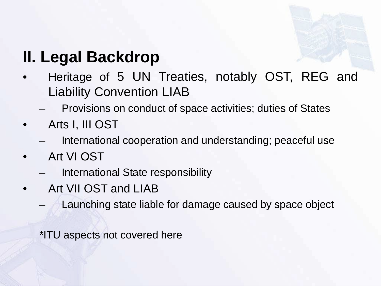

# **II. Legal Backdrop**

- Heritage of 5 UN Treaties, notably OST, REG and Liability Convention LIAB
	- Provisions on conduct of space activities; duties of States
- Arts I, III OST
	- International cooperation and understanding; peaceful use
- Art VI OST
	- International State responsibility
- Art VII OST and LIAB
	- Launching state liable for damage caused by space object

\*ITU aspects not covered here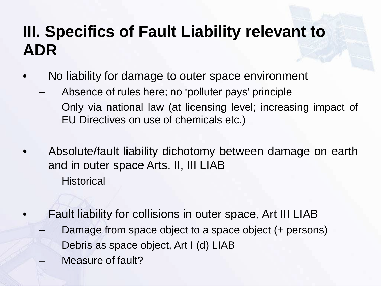### **III. Specifics of Fault Liability relevant to ADR**

- No liability for damage to outer space environment
	- Absence of rules here; no 'polluter pays' principle
	- Only via national law (at licensing level; increasing impact of EU Directives on use of chemicals etc.)
- Absolute/fault liability dichotomy between damage on earth and in outer space Arts. II, III LIAB
	- **Historical**
- Fault liability for collisions in outer space, Art III LIAB
	- Damage from space object to a space object (+ persons)
	- Debris as space object, Art I (d) LIAB
	- Measure of fault?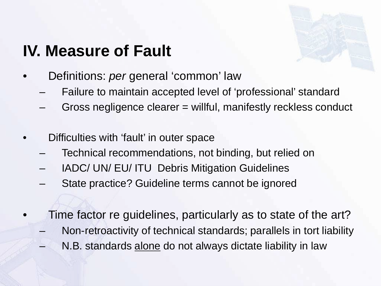# **IV. Measure of Fault**

- Definitions: *per* general 'common' law
	- Failure to maintain accepted level of 'professional' standard
	- Gross negligence clearer = willful, manifestly reckless conduct
- Difficulties with 'fault' in outer space
	- Technical recommendations, not binding, but relied on
	- IADC/ UN/ EU/ ITU Debris Mitigation Guidelines
	- State practice? Guideline terms cannot be ignored
- Time factor re guidelines, particularly as to state of the art?
	- Non-retroactivity of technical standards; parallels in tort liability
	- N.B. standards alone do not always dictate liability in law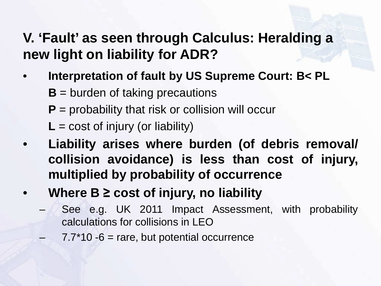#### **V. 'Fault' as seen through Calculus: Heralding a new light on liability for ADR?**

- **Interpretation of fault by US Supreme Court: B< PL**
	- **B** = burden of taking precautions
	- **P** = probability that risk or collision will occur
	- $L = \text{cost of injury (or liability)}$
- **Liability arises where burden (of debris removal/ collision avoidance) is less than cost of injury, multiplied by probability of occurrence**
- **Where B ≥ cost of injury, no liability**
	- See e.g. UK 2011 Impact Assessment, with probability calculations for collisions in LEO
		- $7.7*10 6$  = rare, but potential occurrence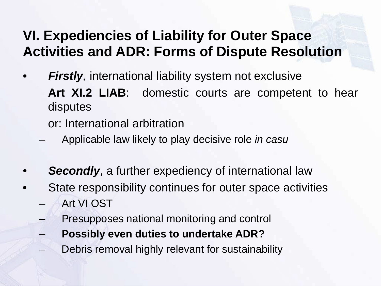#### **VI. Expediencies of Liability for Outer Space Activities and ADR: Forms of Dispute Resolution**

- *Firstly,* international liability system not exclusive **Art XI.2 LIAB**: domestic courts are competent to hear disputes
	- or: International arbitration
	- Applicable law likely to play decisive role *in casu*
- **Secondly**, a further expediency of international law
- State responsibility continues for outer space activities – Art VI OST
	- Presupposes national monitoring and control
	- **Possibly even duties to undertake ADR?**
	- Debris removal highly relevant for sustainability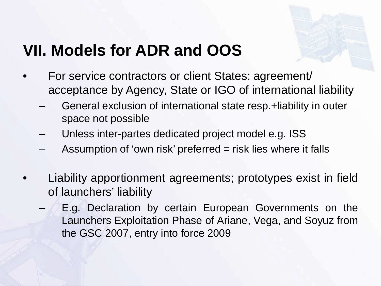

## **VII. Models for ADR and OOS**

- For service contractors or client States: agreement/ acceptance by Agency, State or IGO of international liability
	- General exclusion of international state resp.+liability in outer space not possible
	- Unless inter-partes dedicated project model e.g. ISS
	- Assumption of 'own risk' preferred  $=$  risk lies where it falls
- Liability apportionment agreements; prototypes exist in field of launchers' liability
	- E.g. Declaration by certain European Governments on the Launchers Exploitation Phase of Ariane, Vega, and Soyuz from the GSC 2007, entry into force 2009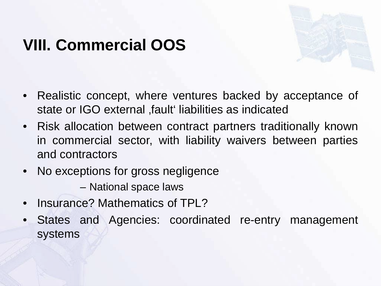## **VIII. Commercial OOS**



- Realistic concept, where ventures backed by acceptance of state or IGO external , fault liabilities as indicated
- Risk allocation between contract partners traditionally known in commercial sector, with liability waivers between parties and contractors
- No exceptions for gross negligence

– National space laws

- Insurance? Mathematics of TPL?
- States and Agencies: coordinated re-entry management systems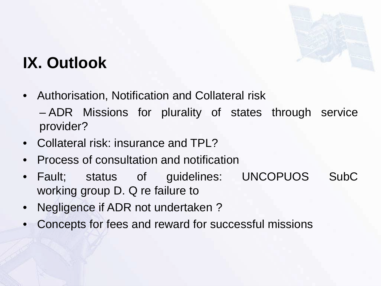

# **IX. Outlook**

• Authorisation, Notification and Collateral risk

– ADR Missions for plurality of states through service provider?

- Collateral risk: insurance and TPL?
- Process of consultation and notification
- Fault; status of guidelines: UNCOPUOS SubC working group D. Q re failure to
- Negligence if ADR not undertaken ?
- Concepts for fees and reward for successful missions